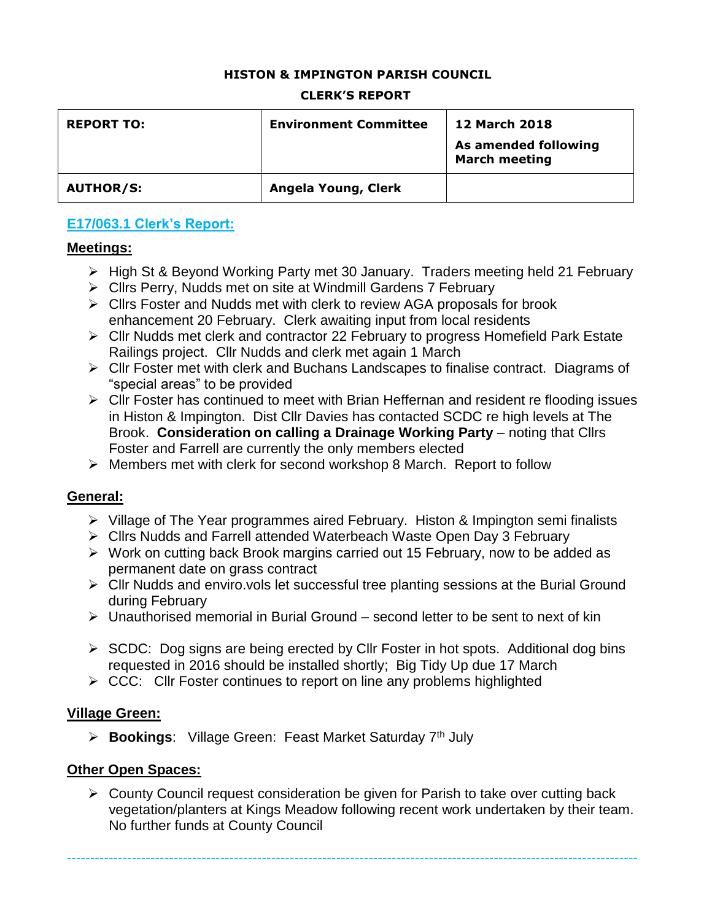### **HISTON & IMPINGTON PARISH COUNCIL**

#### **CLERK'S REPORT**

| <b>REPORT TO:</b> | <b>Environment Committee</b> | <b>12 March 2018</b><br>As amended following<br><b>March meeting</b> |
|-------------------|------------------------------|----------------------------------------------------------------------|
| <b>AUTHOR/S:</b>  | Angela Young, Clerk          |                                                                      |

## **E17/063.1 Clerk's Report:**

### **Meetings:**

- High St & Beyond Working Party met 30 January. Traders meeting held 21 February
- ▶ Cllrs Perry, Nudds met on site at Windmill Gardens 7 February
- Cllrs Foster and Nudds met with clerk to review AGA proposals for brook enhancement 20 February. Clerk awaiting input from local residents
- Cllr Nudds met clerk and contractor 22 February to progress Homefield Park Estate Railings project. Cllr Nudds and clerk met again 1 March
- Cllr Foster met with clerk and Buchans Landscapes to finalise contract. Diagrams of "special areas" to be provided
- $\triangleright$  Cllr Foster has continued to meet with Brian Heffernan and resident re flooding issues in Histon & Impington. Dist Cllr Davies has contacted SCDC re high levels at The Brook. **Consideration on calling a Drainage Working Party** – noting that Cllrs Foster and Farrell are currently the only members elected
- $\triangleright$  Members met with clerk for second workshop 8 March. Report to follow

### **General:**

- $\triangleright$  Village of The Year programmes aired February. Histon & Impington semi finalists
- Cllrs Nudds and Farrell attended Waterbeach Waste Open Day 3 February
- Work on cutting back Brook margins carried out 15 February, now to be added as permanent date on grass contract
- Cllr Nudds and enviro.vols let successful tree planting sessions at the Burial Ground during February
- $\triangleright$  Unauthorised memorial in Burial Ground second letter to be sent to next of kin
- $\triangleright$  SCDC: Dog signs are being erected by CIIr Foster in hot spots. Additional dog bins requested in 2016 should be installed shortly; Big Tidy Up due 17 March
- $\triangleright$  CCC: Cllr Foster continues to report on line any problems highlighted

### **Village Green:**

**Bookings:** Village Green: Feast Market Saturday 7<sup>th</sup> July

### **Other Open Spaces:**

 $\triangleright$  County Council request consideration be given for Parish to take over cutting back vegetation/planters at Kings Meadow following recent work undertaken by their team. No further funds at County Council

---------------------------------------------------------------------------------------------------------------------------